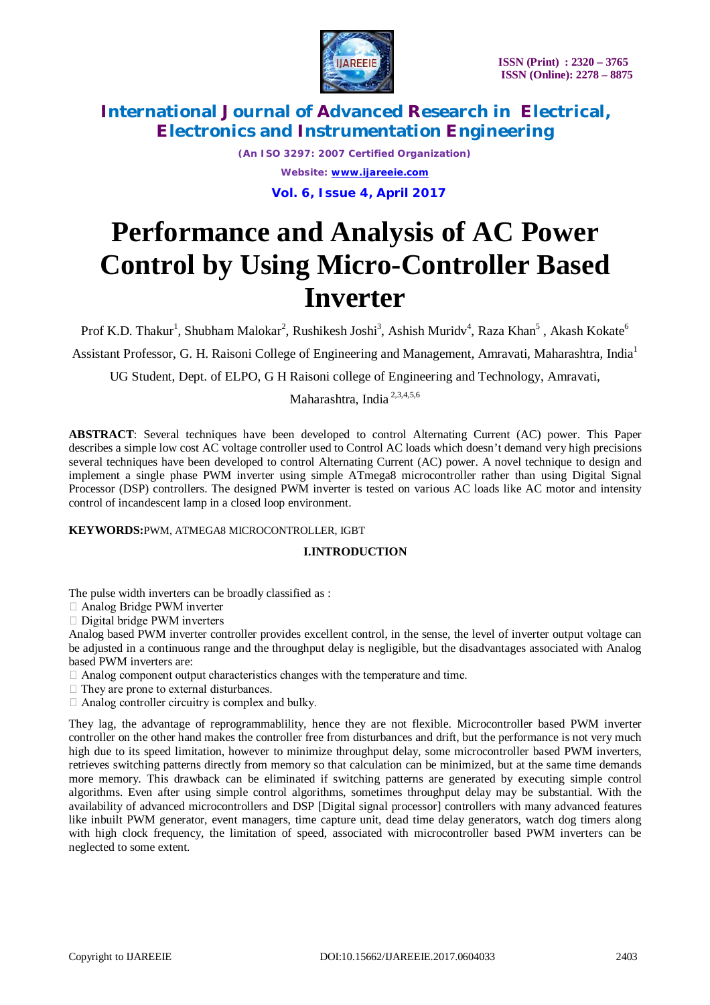

*(An ISO 3297: 2007 Certified Organization) Website: [www.ijareeie.com](http://www.ijareeie.com)*  **Vol. 6, Issue 4, April 2017**

# **Performance and Analysis of AC Power Control by Using Micro-Controller Based Inverter**

Prof K.D. Thakur $^1$ , Shubham Malokar $^2$ , Rushikesh Joshi $^3$ , Ashish Muridv $^4$ , Raza Khan $^5$  , Akash Kokate $^6$ 

Assistant Professor, G. H. Raisoni College of Engineering and Management, Amravati, Maharashtra, India<sup>1</sup>

UG Student, Dept. of ELPO, G H Raisoni college of Engineering and Technology, Amravati,

Maharashtra, India 2,3,4,5,6

**ABSTRACT**: Several techniques have been developed to control Alternating Current (AC) power. This Paper describes a simple low cost AC voltage controller used to Control AC loads which doesn't demand very high precisions several techniques have been developed to control Alternating Current (AC) power. A novel technique to design and implement a single phase PWM inverter using simple ATmega8 microcontroller rather than using Digital Signal Processor (DSP) controllers. The designed PWM inverter is tested on various AC loads like AC motor and intensity control of incandescent lamp in a closed loop environment.

#### **KEYWORDS:**PWM, ATMEGA8 MICROCONTROLLER, IGBT

#### **I.INTRODUCTION**

The pulse width inverters can be broadly classified as :

Analog Bridge PWM inverter

□ Digital bridge PWM inverters

Analog based PWM inverter controller provides excellent control, in the sense, the level of inverter output voltage can be adjusted in a continuous range and the throughput delay is negligible, but the disadvantages associated with Analog based PWM inverters are:

 $\Box$  Analog component output characteristics changes with the temperature and time.

- $\Box$  They are prone to external disturbances.
- $\Box$  Analog controller circuitry is complex and bulky.

They lag, the advantage of reprogrammablility, hence they are not flexible. Microcontroller based PWM inverter controller on the other hand makes the controller free from disturbances and drift, but the performance is not very much high due to its speed limitation, however to minimize throughput delay, some microcontroller based PWM inverters, retrieves switching patterns directly from memory so that calculation can be minimized, but at the same time demands more memory. This drawback can be eliminated if switching patterns are generated by executing simple control algorithms. Even after using simple control algorithms, sometimes throughput delay may be substantial. With the availability of advanced microcontrollers and DSP [Digital signal processor] controllers with many advanced features like inbuilt PWM generator, event managers, time capture unit, dead time delay generators, watch dog timers along with high clock frequency, the limitation of speed, associated with microcontroller based PWM inverters can be neglected to some extent.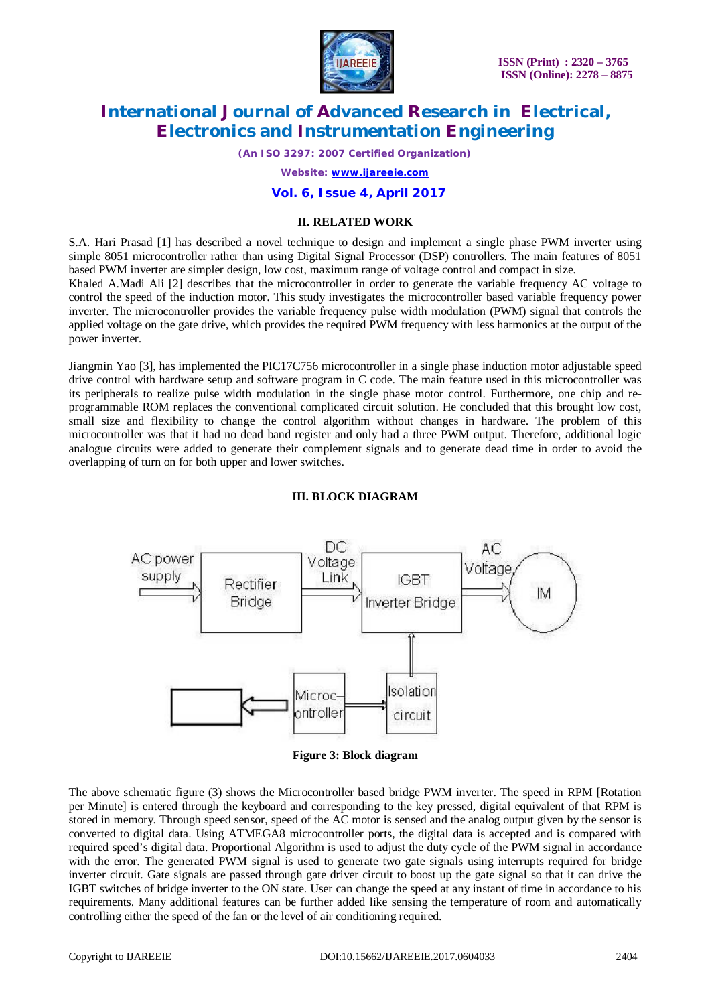

*(An ISO 3297: 2007 Certified Organization)*

*Website: [www.ijareeie.com](http://www.ijareeie.com)*

### **Vol. 6, Issue 4, April 2017**

#### **II. RELATED WORK**

S.A. Hari Prasad [1] has described a novel technique to design and implement a single phase PWM inverter using simple 8051 microcontroller rather than using Digital Signal Processor (DSP) controllers. The main features of 8051 based PWM inverter are simpler design, low cost, maximum range of voltage control and compact in size*.* 

Khaled A.Madi Ali [2] describes that the microcontroller in order to generate the variable frequency AC voltage to control the speed of the induction motor. This study investigates the microcontroller based variable frequency power inverter. The microcontroller provides the variable frequency pulse width modulation (PWM) signal that controls the applied voltage on the gate drive, which provides the required PWM frequency with less harmonics at the output of the power inverter.

Jiangmin Yao [3], has implemented the PIC17C756 microcontroller in a single phase induction motor adjustable speed drive control with hardware setup and software program in C code. The main feature used in this microcontroller was its peripherals to realize pulse width modulation in the single phase motor control. Furthermore, one chip and reprogrammable ROM replaces the conventional complicated circuit solution. He concluded that this brought low cost, small size and flexibility to change the control algorithm without changes in hardware. The problem of this microcontroller was that it had no dead band register and only had a three PWM output. Therefore, additional logic analogue circuits were added to generate their complement signals and to generate dead time in order to avoid the overlapping of turn on for both upper and lower switches.



### **III. BLOCK DIAGRAM**

**Figure 3: Block diagram**

The above schematic figure (3) shows the Microcontroller based bridge PWM inverter. The speed in RPM [Rotation per Minute] is entered through the keyboard and corresponding to the key pressed, digital equivalent of that RPM is stored in memory. Through speed sensor, speed of the AC motor is sensed and the analog output given by the sensor is converted to digital data. Using ATMEGA8 microcontroller ports, the digital data is accepted and is compared with required speed's digital data. Proportional Algorithm is used to adjust the duty cycle of the PWM signal in accordance with the error. The generated PWM signal is used to generate two gate signals using interrupts required for bridge inverter circuit. Gate signals are passed through gate driver circuit to boost up the gate signal so that it can drive the IGBT switches of bridge inverter to the ON state. User can change the speed at any instant of time in accordance to his requirements. Many additional features can be further added like sensing the temperature of room and automatically controlling either the speed of the fan or the level of air conditioning required.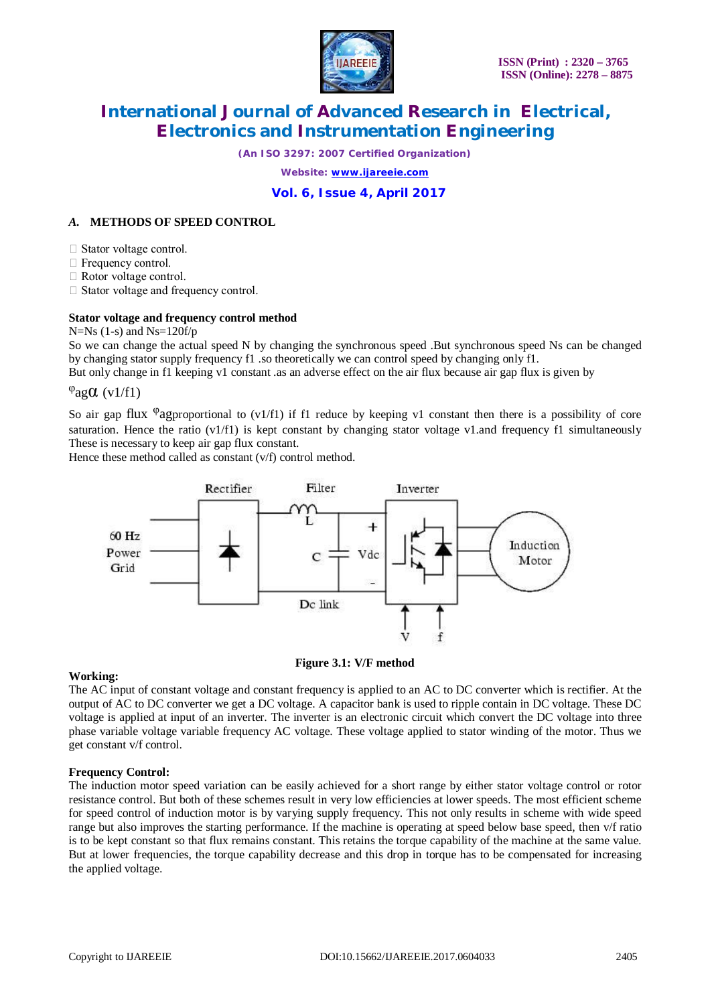

*(An ISO 3297: 2007 Certified Organization)*

*Website: [www.ijareeie.com](http://www.ijareeie.com)*

### **Vol. 6, Issue 4, April 2017**

### *A.* **METHODS OF SPEED CONTROL**

Stator voltage control.

 $\Box$  Frequency control.

 $\Box$  Rotor voltage control.

□ Stator voltage and frequency control.

#### **Stator voltage and frequency control method**

 $N=Ns(1-s)$  and  $Ns=120f/p$ 

So we can change the actual speed N by changing the synchronous speed .But synchronous speed Ns can be changed by changing stator supply frequency f1 .so theoretically we can control speed by changing only f1.

But only change in f1 keeping v1 constant .as an adverse effect on the air flux because air gap flux is given by

### $\varphi$ agα (v1/f1)

So air gap flux <sup> $\varphi$ </sup>agproportional to (v1/f1) if f1 reduce by keeping v1 constant then there is a possibility of core saturation. Hence the ratio (v1/f1) is kept constant by changing stator voltage v1.and frequency f1 simultaneously These is necessary to keep air gap flux constant.

Hence these method called as constant (v/f) control method.



#### **Figure 3.1: V/F method**

#### **Working:**

The AC input of constant voltage and constant frequency is applied to an AC to DC converter which is rectifier. At the output of AC to DC converter we get a DC voltage. A capacitor bank is used to ripple contain in DC voltage. These DC voltage is applied at input of an inverter. The inverter is an electronic circuit which convert the DC voltage into three phase variable voltage variable frequency AC voltage. These voltage applied to stator winding of the motor. Thus we get constant v/f control.

#### **Frequency Control:**

The induction motor speed variation can be easily achieved for a short range by either stator voltage control or rotor resistance control. But both of these schemes result in very low efficiencies at lower speeds. The most efficient scheme for speed control of induction motor is by varying supply frequency. This not only results in scheme with wide speed range but also improves the starting performance. If the machine is operating at speed below base speed, then v/f ratio is to be kept constant so that flux remains constant. This retains the torque capability of the machine at the same value. But at lower frequencies, the torque capability decrease and this drop in torque has to be compensated for increasing the applied voltage.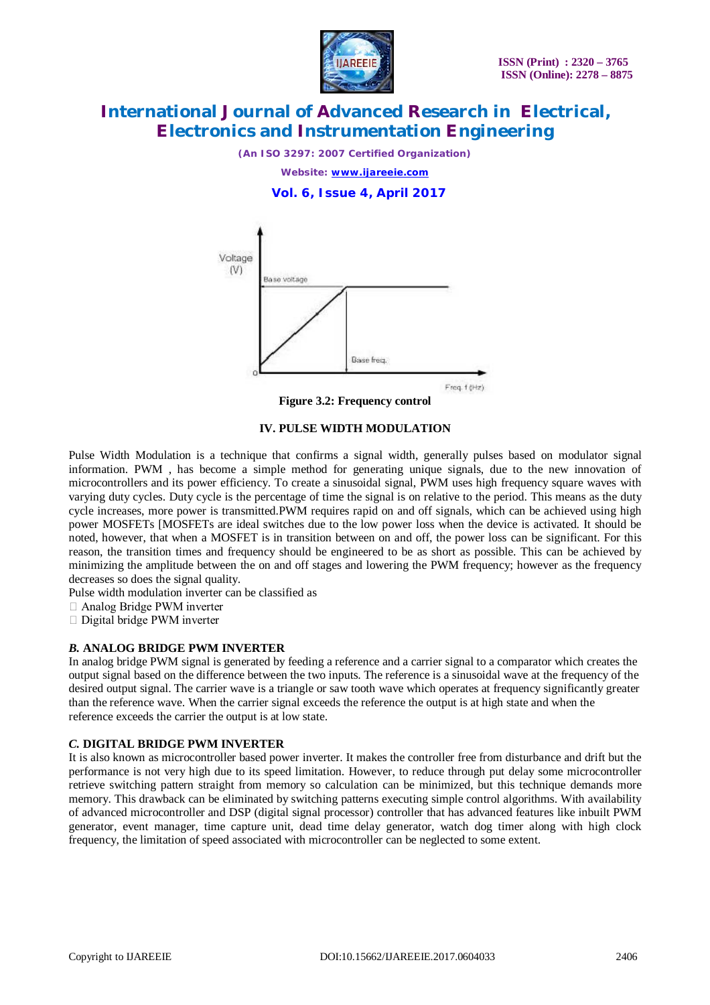

*(An ISO 3297: 2007 Certified Organization)*

*Website: [www.ijareeie.com](http://www.ijareeie.com)*

 **Vol. 6, Issue 4, April 2017**



**Figure 3.2: Frequency control**

#### **IV. PULSE WIDTH MODULATION**

Pulse Width Modulation is a technique that confirms a signal width, generally pulses based on modulator signal information. PWM , has become a simple method for generating unique signals, due to the new innovation of microcontrollers and its power efficiency. To create a sinusoidal signal, PWM uses high frequency square waves with varying duty cycles. Duty cycle is the percentage of time the signal is on relative to the period. This means as the duty cycle increases, more power is transmitted.PWM requires rapid on and off signals, which can be achieved using high power MOSFETs [MOSFETs are ideal switches due to the low power loss when the device is activated. It should be noted, however, that when a MOSFET is in transition between on and off, the power loss can be significant. For this reason, the transition times and frequency should be engineered to be as short as possible. This can be achieved by minimizing the amplitude between the on and off stages and lowering the PWM frequency; however as the frequency decreases so does the signal quality.

Pulse width modulation inverter can be classified as

- Analog Bridge PWM inverter
- □ Digital bridge PWM inverter

#### *B.* **ANALOG BRIDGE PWM INVERTER**

In analog bridge PWM signal is generated by feeding a reference and a carrier signal to a comparator which creates the output signal based on the difference between the two inputs. The reference is a sinusoidal wave at the frequency of the desired output signal. The carrier wave is a triangle or saw tooth wave which operates at frequency significantly greater than the reference wave. When the carrier signal exceeds the reference the output is at high state and when the reference exceeds the carrier the output is at low state.

#### *C.* **DIGITAL BRIDGE PWM INVERTER**

It is also known as microcontroller based power inverter. It makes the controller free from disturbance and drift but the performance is not very high due to its speed limitation. However, to reduce through put delay some microcontroller retrieve switching pattern straight from memory so calculation can be minimized, but this technique demands more memory. This drawback can be eliminated by switching patterns executing simple control algorithms. With availability of advanced microcontroller and DSP (digital signal processor) controller that has advanced features like inbuilt PWM generator, event manager, time capture unit, dead time delay generator, watch dog timer along with high clock frequency, the limitation of speed associated with microcontroller can be neglected to some extent.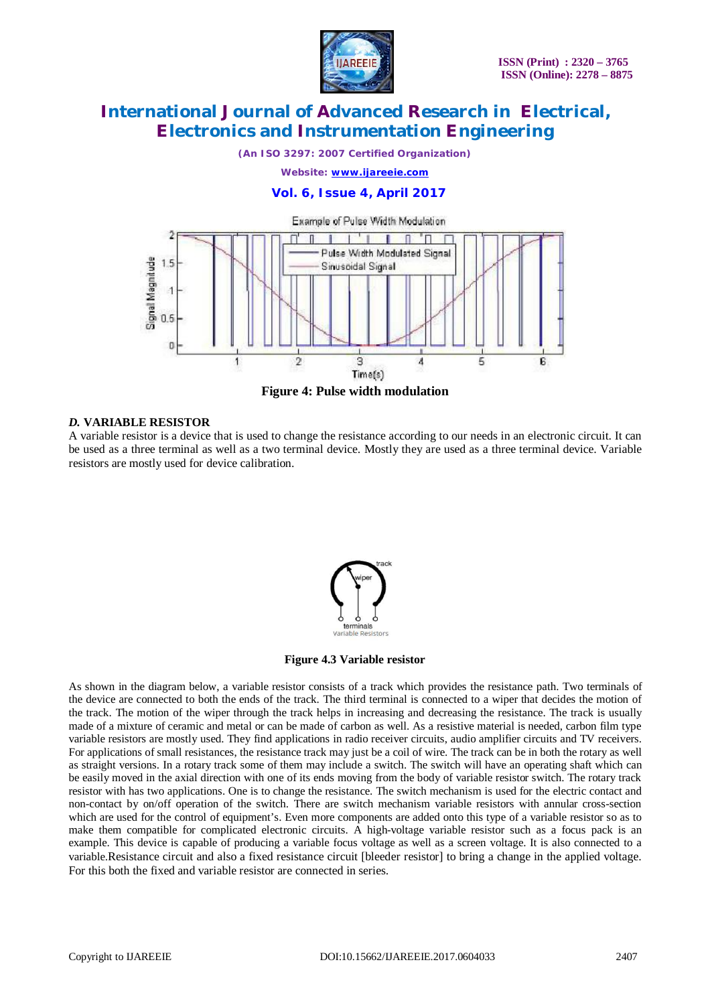

*(An ISO 3297: 2007 Certified Organization)*

*Website: [www.ijareeie.com](http://www.ijareeie.com)*

### **Vol. 6, Issue 4, April 2017**



**Figure 4: Pulse width modulation**

#### *D.* **VARIABLE RESISTOR**

A variable resistor is a device that is used to change the resistance according to our needs in an electronic circuit. It can be used as a three terminal as well as a two terminal device. Mostly they are used as a three terminal device. Variable resistors are mostly used for device calibration.



#### **Figure 4.3 Variable resistor**

As shown in the diagram below, a variable resistor consists of a track which provides the resistance path. Two terminals of the device are connected to both the ends of the track. The third terminal is connected to a wiper that decides the motion of the track. The motion of the wiper through the track helps in increasing and decreasing the resistance. The track is usually made of a mixture of ceramic and metal or can be made of carbon as well. As a resistive material is needed, carbon film type variable resistors are mostly used. They find applications in radio receiver circuits, audio amplifier circuits and TV receivers. For applications of small resistances, the resistance track may just be a coil of wire. The track can be in both the rotary as well as straight versions. In a rotary track some of them may include a switch. The switch will have an operating shaft which can be easily moved in the axial direction with one of its ends moving from the body of variable resistor switch. The rotary track resistor with has two applications. One is to change the resistance. The switch mechanism is used for the electric contact and non-contact by on/off operation of the switch. There are switch mechanism variable resistors with annular cross-section which are used for the control of equipment's. Even more components are added onto this type of a variable resistor so as to make them compatible for complicated electronic circuits. A high-voltage variable resistor such as a focus pack is an example. This device is capable of producing a variable focus voltage as well as a screen voltage. It is also connected to a variable.Resistance circuit and also a fixed resistance circuit [bleeder resistor] to bring a change in the applied voltage. For this both the fixed and variable resistor are connected in series.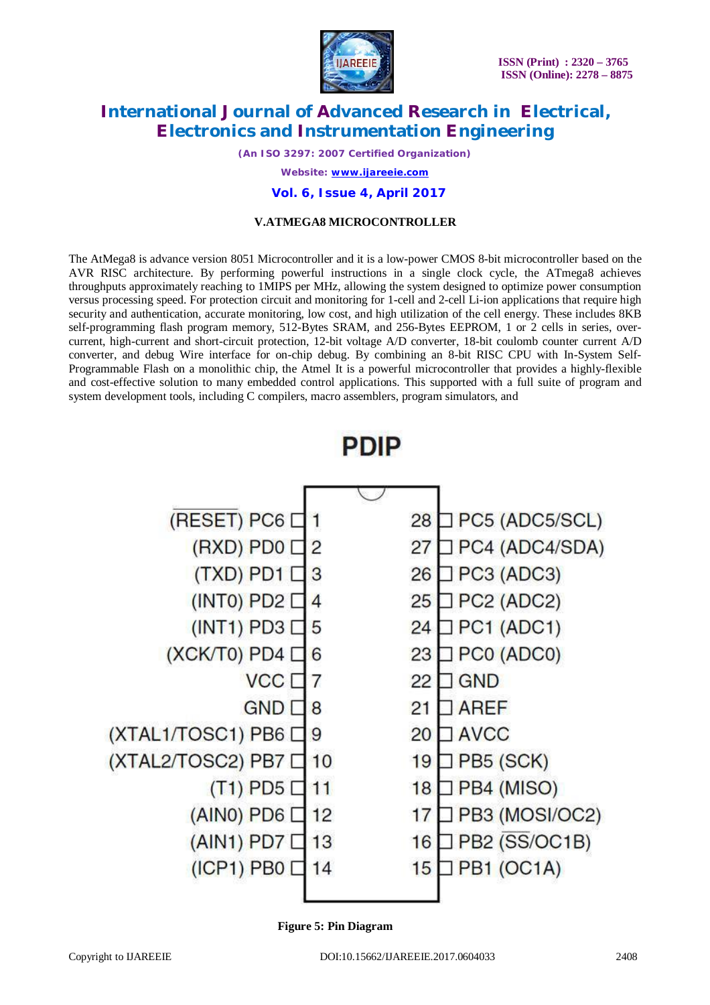

*(An ISO 3297: 2007 Certified Organization) Website: [www.ijareeie.com](http://www.ijareeie.com)*

### **Vol. 6, Issue 4, April 2017**

### **V.ATMEGA8 MICROCONTROLLER**

The AtMega8 is advance version 8051 Microcontroller and it is a low-power CMOS 8-bit microcontroller based on the AVR RISC architecture. By performing powerful instructions in a single clock cycle, the ATmega8 achieves throughputs approximately reaching to 1MIPS per MHz, allowing the system designed to optimize power consumption versus processing speed. For protection circuit and monitoring for 1-cell and 2-cell Li-ion applications that require high security and authentication, accurate monitoring, low cost, and high utilization of the cell energy. These includes 8KB self-programming flash program memory, 512-Bytes SRAM, and 256-Bytes EEPROM, 1 or 2 cells in series, overcurrent, high-current and short-circuit protection, 12-bit voltage A/D converter, 18-bit coulomb counter current A/D converter, and debug Wire interface for on-chip debug. By combining an 8-bit RISC CPU with In-System Self-Programmable Flash on a monolithic chip, the Atmel It is a powerful microcontroller that provides a highly-flexible and cost-effective solution to many embedded control applications. This supported with a full suite of program and system development tools, including C compilers, macro assemblers, program simulators, and





 **Figure 5: Pin Diagram**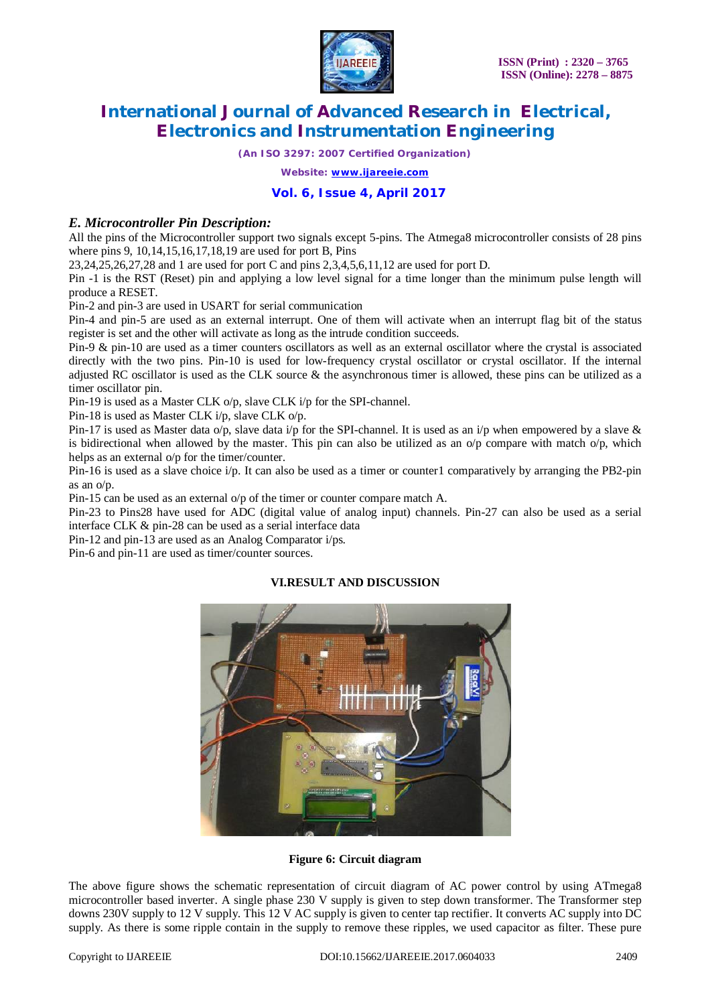

*(An ISO 3297: 2007 Certified Organization)*

*Website: [www.ijareeie.com](http://www.ijareeie.com)*

### **Vol. 6, Issue 4, April 2017**

### *E. Microcontroller Pin Description:*

All the pins of the Microcontroller support two signals except 5-pins. The Atmega8 microcontroller consists of 28 pins where pins 9, 10,14,15,16,17,18,19 are used for port B, Pins

23,24,25,26,27,28 and 1 are used for port C and pins 2,3,4,5,6,11,12 are used for port D.

Pin -1 is the RST (Reset) pin and applying a low level signal for a time longer than the minimum pulse length will produce a RESET.

Pin-2 and pin-3 are used in USART for serial communication

Pin-4 and pin-5 are used as an external interrupt. One of them will activate when an interrupt flag bit of the status register is set and the other will activate as long as the intrude condition succeeds.

Pin-9 & pin-10 are used as a timer counters oscillators as well as an external oscillator where the crystal is associated directly with the two pins. Pin-10 is used for low-frequency crystal oscillator or crystal oscillator. If the internal adjusted RC oscillator is used as the CLK source  $\&$  the asynchronous timer is allowed, these pins can be utilized as a timer oscillator pin.

Pin-19 is used as a Master CLK o/p, slave CLK i/p for the SPI-channel.

Pin-18 is used as Master CLK i/p, slave CLK o/p.

Pin-17 is used as Master data o/p, slave data i/p for the SPI-channel. It is used as an i/p when empowered by a slave  $\&$ is bidirectional when allowed by the master. This pin can also be utilized as an  $\alpha/p$  compare with match  $\alpha/p$ , which helps as an external o/p for the timer/counter.

Pin-16 is used as a slave choice i/p. It can also be used as a timer or counter1 comparatively by arranging the PB2-pin as an o/p.

Pin-15 can be used as an external o/p of the timer or counter compare match A.

Pin-23 to Pins28 have used for ADC (digital value of analog input) channels. Pin-27 can also be used as a serial interface CLK & pin-28 can be used as a serial interface data

Pin-12 and pin-13 are used as an Analog Comparator i/ps.

Pin-6 and pin-11 are used as timer/counter sources.

#### **VI.RESULT AND DISCUSSION**



**Figure 6: Circuit diagram**

The above figure shows the schematic representation of circuit diagram of AC power control by using ATmega8 microcontroller based inverter. A single phase 230 V supply is given to step down transformer. The Transformer step downs 230V supply to 12 V supply. This 12 V AC supply is given to center tap rectifier. It converts AC supply into DC supply. As there is some ripple contain in the supply to remove these ripples, we used capacitor as filter. These pure